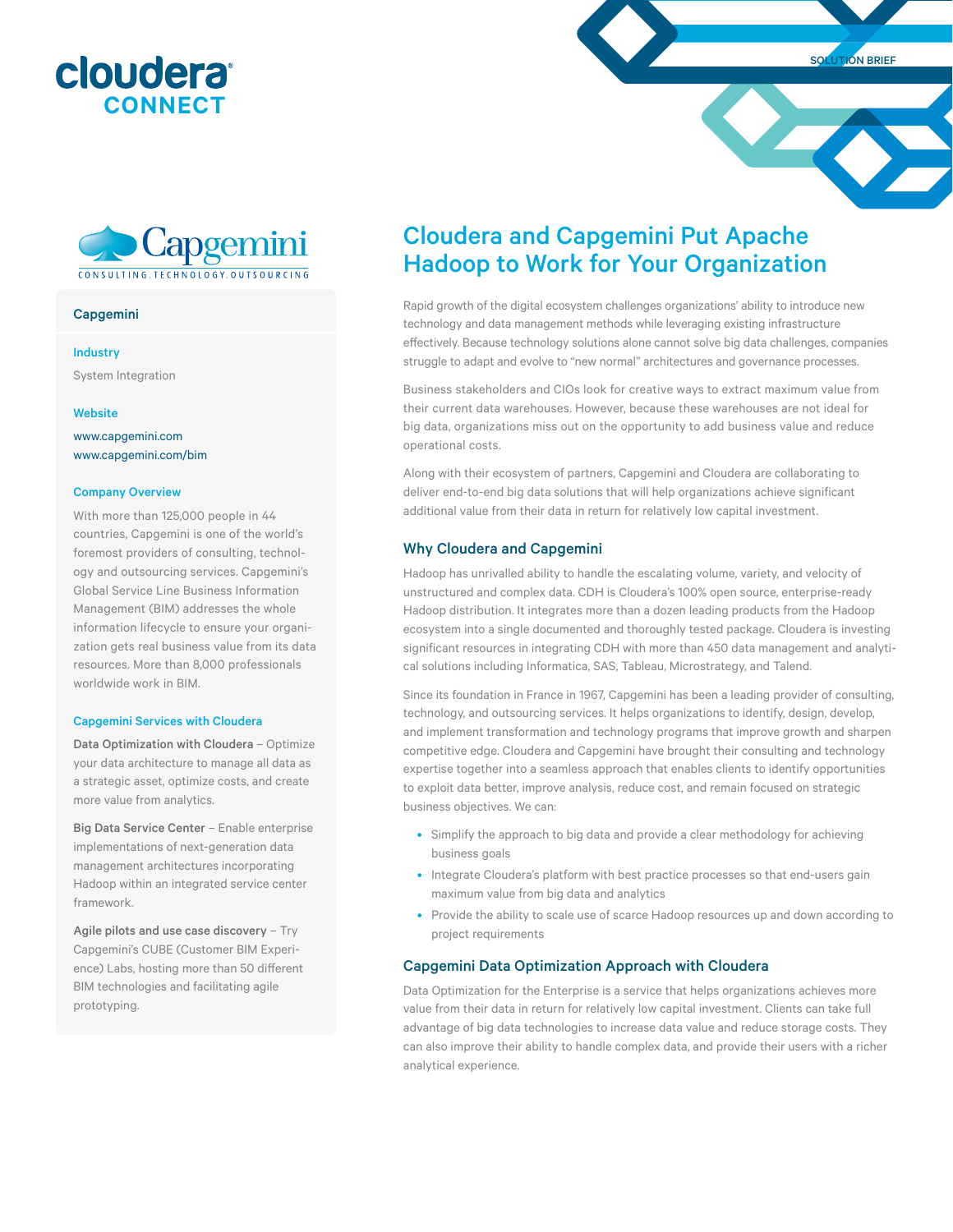





## Capgemini

#### Industry

System Integration

#### **Website**

<www.capgemini.com> <www.capgemini.com/bim>

#### Company Overview

With more than 125,000 people in 44 countries, Capgemini is one of the world's foremost providers of consulting, technology and outsourcing services. Capgemini's Global Service Line Business Information Management (BIM) addresses the whole information lifecycle to ensure your organization gets real business value from its data resources. More than 8,000 professionals worldwide work in BIM.

#### Capgemini Services with Cloudera

Data Optimization with Cloudera – Optimize your data architecture to manage all data as a strategic asset, optimize costs, and create more value from analytics.

Big Data Service Center – Enable enterprise implementations of next-generation data management architectures incorporating Hadoop within an integrated service center framework.

Agile pilots and use case discovery – Try Capgemini's CUBE (Customer BIM Experience) Labs, hosting more than 50 different BIM technologies and facilitating agile prototyping.

# Cloudera and Capgemini Put Apache Hadoop to Work for Your Organization

Rapid growth of the digital ecosystem challenges organizations' ability to introduce new technology and data management methods while leveraging existing infrastructure effectively. Because technology solutions alone cannot solve big data challenges, companies struggle to adapt and evolve to "new normal" architectures and governance processes.

Business stakeholders and CIOs look for creative ways to extract maximum value from their current data warehouses. However, because these warehouses are not ideal for big data, organizations miss out on the opportunity to add business value and reduce operational costs.

Along with their ecosystem of partners, Capgemini and Cloudera are collaborating to deliver end-to-end big data solutions that will help organizations achieve significant additional value from their data in return for relatively low capital investment.

### Why Cloudera and Capgemini

Hadoop has unrivalled ability to handle the escalating volume, variety, and velocity of unstructured and complex data. CDH is Cloudera's 100% open source, enterprise-ready Hadoop distribution. It integrates more than a dozen leading products from the Hadoop ecosystem into a single documented and thoroughly tested package. Cloudera is investing significant resources in integrating CDH with more than 450 data management and analytical solutions including Informatica, SAS, Tableau, Microstrategy, and Talend.

Since its foundation in France in 1967, Capgemini has been a leading provider of consulting, technology, and outsourcing services. It helps organizations to identify, design, develop, and implement transformation and technology programs that improve growth and sharpen competitive edge. Cloudera and Capgemini have brought their consulting and technology expertise together into a seamless approach that enables clients to identify opportunities to exploit data better, improve analysis, reduce cost, and remain focused on strategic business objectives. We can:

- Simplify the approach to big data and provide a clear methodology for achieving business goals
- Integrate Cloudera's platform with best practice processes so that end-users gain maximum value from big data and analytics
- Provide the ability to scale use of scarce Hadoop resources up and down according to project requirements

# Capgemini Data Optimization Approach with Cloudera

Data Optimization for the Enterprise is a service that helps organizations achieves more value from their data in return for relatively low capital investment. Clients can take full advantage of big data technologies to increase data value and reduce storage costs. They can also improve their ability to handle complex data, and provide their users with a richer analytical experience.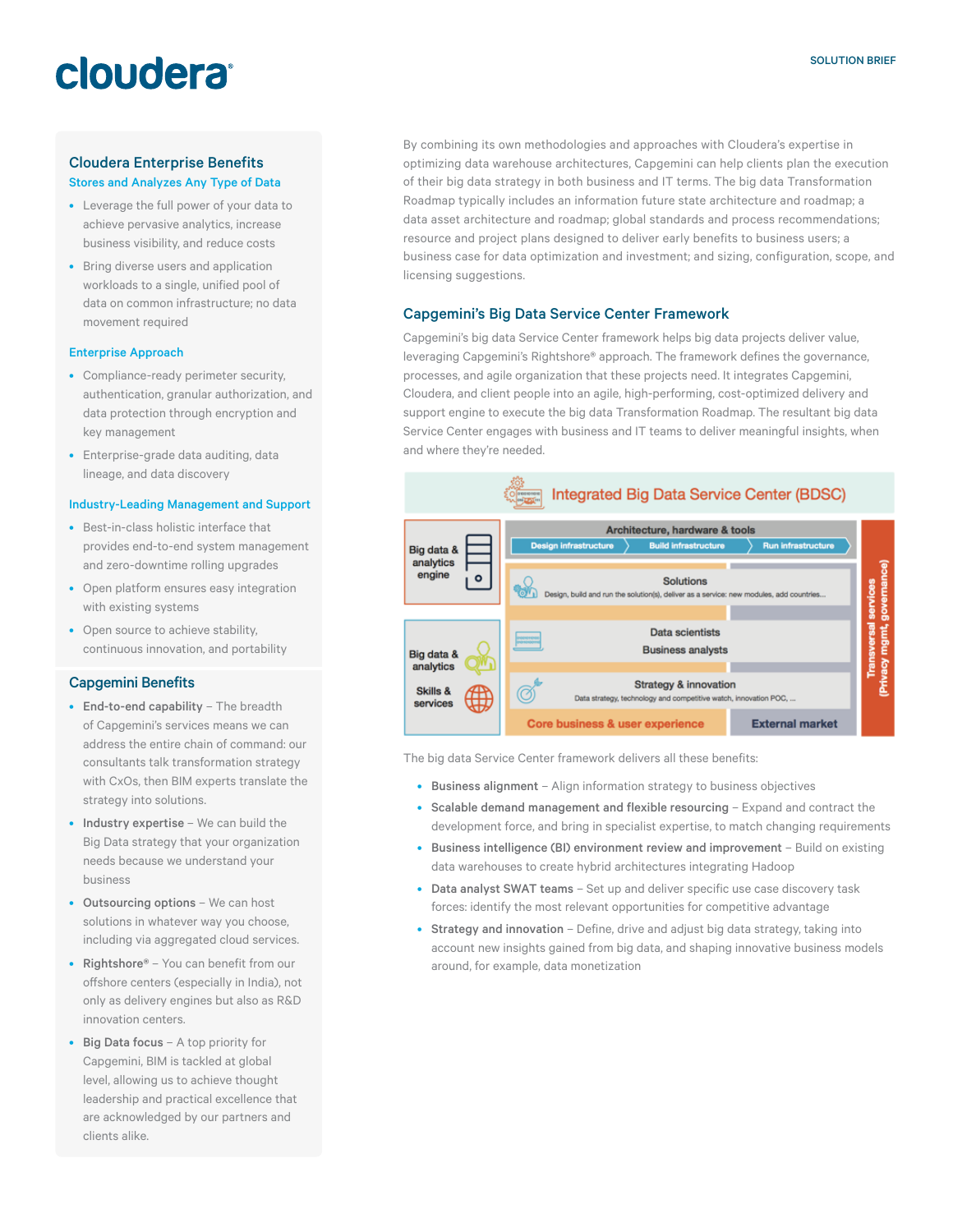# cloudera

# Cloudera Enterprise Benefits Stores and Analyzes Any Type of Data

- Leverage the full power of your data to achieve pervasive analytics, increase business visibility, and reduce costs
- Bring diverse users and application workloads to a single, unified pool of data on common infrastructure; no data movement required

# Enterprise Approach

- Compliance-ready perimeter security, authentication, granular authorization, and data protection through encryption and key management
- Enterprise-grade data auditing, data lineage, and data discovery

### Industry-Leading Management and Support

- Best-in-class holistic interface that provides end-to-end system management and zero-downtime rolling upgrades
- Open platform ensures easy integration with existing systems
- Open source to achieve stability, continuous innovation, and portability

# Capgemini Benefits

- End-to-end capability The breadth of Capgemini's services means we can address the entire chain of command: our consultants talk transformation strategy with CxOs, then BIM experts translate the strategy into solutions.
- Industry expertise We can build the Big Data strategy that your organization needs because we understand your business
- Outsourcing options We can host solutions in whatever way you choose, including via aggregated cloud services.
- Rightshore® You can benefit from our offshore centers (especially in India), not only as delivery engines but also as R&D innovation centers.
- Big Data focus A top priority for Capgemini, BIM is tackled at global level, allowing us to achieve thought leadership and practical excellence that are acknowledged by our partners and clients alike.

By combining its own methodologies and approaches with Cloudera's expertise in optimizing data warehouse architectures, Capgemini can help clients plan the execution of their big data strategy in both business and IT terms. The big data Transformation Roadmap typically includes an information future state architecture and roadmap; a data asset architecture and roadmap; global standards and process recommendations; resource and project plans designed to deliver early benefits to business users; a business case for data optimization and investment; and sizing, configuration, scope, and licensing suggestions.

# Capgemini's Big Data Service Center Framework

Capgemini's big data Service Center framework helps big data projects deliver value, leveraging Capgemini's Rightshore® approach. The framework defines the governance, processes, and agile organization that these projects need. It integrates Capgemini, Cloudera, and client people into an agile, high-performing, cost-optimized delivery and support engine to execute the big data Transformation Roadmap. The resultant big data Service Center engages with business and IT teams to deliver meaningful insights, when and where they're needed.



The big data Service Center framework delivers all these benefits:

- Business alignment Align information strategy to business objectives
- Scalable demand management and flexible resourcing Expand and contract the development force, and bring in specialist expertise, to match changing requirements
- Business intelligence (BI) environment review and improvement Build on existing data warehouses to create hybrid architectures integrating Hadoop
- Data analyst SWAT teams Set up and deliver specific use case discovery task forces: identify the most relevant opportunities for competitive advantage
- Strategy and innovation Define, drive and adjust big data strategy, taking into account new insights gained from big data, and shaping innovative business models around, for example, data monetization